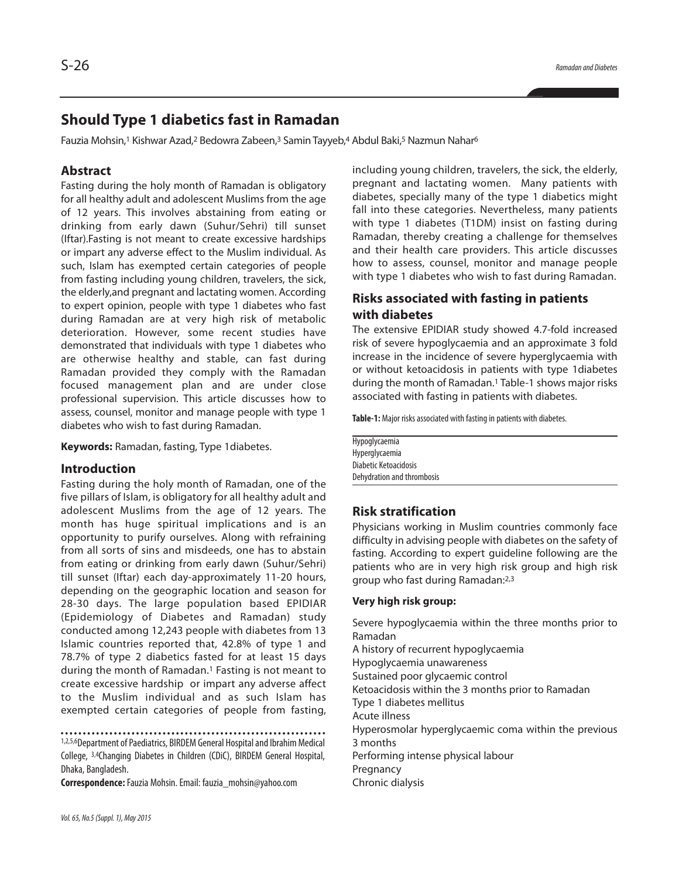# **Should Type 1 diabetics fast in Ramadan**

Fauzia Mohsin,<sup>1</sup> Kishwar Azad,<sup>2</sup> Bedowra Zabeen,<sup>3</sup> Samin Tayyeb,4 Abdul Baki,<sup>5</sup> Nazmun Nahar<sup>6</sup>

## **Abstract**

Fasting during the holy month of Ramadan is obligatory for all healthy adult and adolescent Muslims from the age of 12 years. This involves abstaining from eating or drinking from early dawn (Suhur/Sehri) till sunset (Iftar).Fasting is not meant to create excessive hardships or impart any adverse effect to the Muslim individual. As such, Islam has exempted certain categories of people from fasting including young children, travelers, the sick, the elderly,and pregnant and lactating women. According to expert opinion, people with type 1 diabetes who fast during Ramadan are at very high risk of metabolic deterioration. However, some recent studies have demonstrated that individuals with type 1 diabetes who are otherwise healthy and stable, can fast during Ramadan provided they comply with the Ramadan focused management plan and are under close professional supervision. This article discusses how to assess, counsel, monitor and manage people with type 1 diabetes who wish to fast during Ramadan.

**Keywords:** Ramadan, fasting, Type 1diabetes.

#### **Introduction**

Fasting during the holy month of Ramadan, one of the five pillars of Islam, is obligatory for all healthy adult and adolescent Muslims from the age of 12 years. The month has huge spiritual implications and is an opportunity to purify ourselves. Along with refraining from all sorts of sins and misdeeds, one has to abstain from eating or drinking from early dawn (Suhur/Sehri) till sunset (Iftar) each day-approximately 11-20 hours, depending on the geographic location and season for 28-30 days. The large population based EPIDIAR (Epidemiology of Diabetes and Ramadan) study conducted among 12,243 people with diabetes from 13 Islamic countries reported that, 42.8% of type 1 and 78.7% of type 2 diabetics fasted for at least 15 days during the month of Ramadan. <sup>1</sup> Fasting is not meant to create excessive hardship or impart any adverse affect to the Muslim individual and as such Islam has exempted certain categories of people from fasting,

1,2,5,6Department of Paediatrics, BIRDEM General Hospital and Ibrahim Medical College, 3,4Changing Diabetes in Children (CDiC), BIRDEM General Hospital, Dhaka, Bangladesh.

**Correspondence:**Fauzia Mohsin.Email: fauzia\_mohsin@yahoo.com

including young children, travelers, the sick, the elderly, pregnant and lactating women. Many patients with diabetes, specially many of the type 1 diabetics might fall into these categories. Nevertheless, many patients with type 1 diabetes (T1DM) insist on fasting during Ramadan, thereby creating a challenge for themselves and their health care providers. This article discusses how to assess, counsel, monitor and manage people with type 1 diabetes who wish to fast during Ramadan.

# **Risks associated with fasting in patients with diabetes**

The extensive EPIDIAR study showed 4.7-fold increased risk of severe hypoglycaemia and an approximate 3 fold increase in the incidence of severe hyperglycaemia with or without ketoacidosis in patients with type 1diabetes during the month of Ramadan. <sup>1</sup> Table-1 shows major risks associated with fasting in patients with diabetes.

Table-1: Major risks associated with fasting in patients with diabetes.

Hypoglycaemia Hyperglycaemia Diabetic Ketoacidosis Dehydration and thrombosis

## **Risk stratification**

Physicians working in Muslim countries commonly face difficulty in advising people with diabetes on the safety of fasting. According to expert guideline following are the patients who are in very high risk group and high risk group who fast during Ramadan:<sup>2,3</sup>

#### **Very high risk group:**

Severe hypoglycaemia within the three months prior to Ramadan A history of recurrent hypoglycaemia Hypoglycaemia unawareness Sustained poor glycaemic control Ketoacidosis within the 3 months prior to Ramadan Type 1 diabetes mellitus Acute illness Hyperosmolar hyperglycaemic coma within the previous 3 months Performing intense physical labour **Pregnancy** Chronic dialysis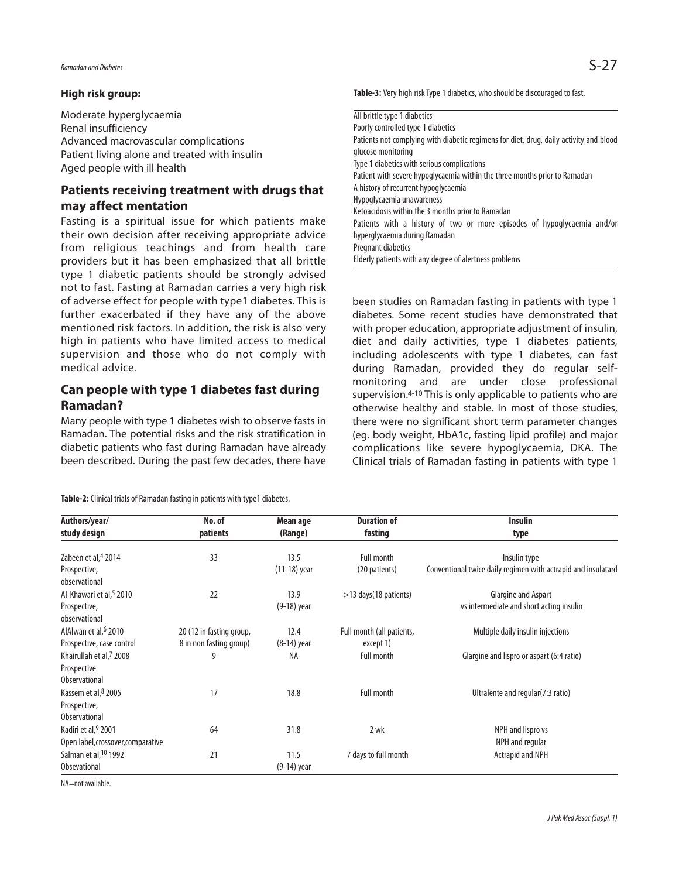#### **High risk group:**

Moderate hyperglycaemia Renal insufficiency Advanced macrovascular complications Patient living alone and treated with insulin Aged people with ill health

# **Patients receiving treatment with drugs that may affect mentation**

Fasting is a spiritual issue for which patients make their own decision after receiving appropriate advice from religious teachings and from health care providers but it has been emphasized that all brittle type 1 diabetic patients should be strongly advised not to fast. Fasting at Ramadan carries a very high risk of adverse effect for people with type1 diabetes. This is further exacerbated if they have any of the above mentioned risk factors. In addition, the risk is also very high in patients who have limited access to medical supervision and those who do not comply with medical advice.

# **Can people with type 1 diabetes fast during Ramadan?**

Many people with type 1 diabetes wish to observe fasts in Ramadan. The potential risks and the risk stratification in diabetic patients who fast during Ramadan have already been described. During the past few decades, there have

**Table-2:** Clinical trials of Ramadan fasting in patients with type1 diabetes.

Table-3: Very high risk Type 1 diabetics, who should be discouraged to fast.

| All brittle type 1 diabetics                                                           |  |  |  |  |  |
|----------------------------------------------------------------------------------------|--|--|--|--|--|
| Poorly controlled type 1 diabetics                                                     |  |  |  |  |  |
| Patients not complying with diabetic regimens for diet, drug, daily activity and blood |  |  |  |  |  |
| glucose monitoring                                                                     |  |  |  |  |  |
| Type 1 diabetics with serious complications                                            |  |  |  |  |  |
| Patient with severe hypoglycaemia within the three months prior to Ramadan             |  |  |  |  |  |
| A history of recurrent hypoglycaemia                                                   |  |  |  |  |  |
| Hypoglycaemia unawareness                                                              |  |  |  |  |  |
| Ketoacidosis within the 3 months prior to Ramadan                                      |  |  |  |  |  |
| Patients with a history of two or more episodes of hypoglycaemia and/or                |  |  |  |  |  |
| hyperglycaemia during Ramadan                                                          |  |  |  |  |  |
| Pregnant diabetics                                                                     |  |  |  |  |  |
| Elderly patients with any degree of alertness problems                                 |  |  |  |  |  |

been studies on Ramadan fasting in patients with type 1 diabetes. Some recent studies have demonstrated that with proper education, appropriate adjustment of insulin, diet and daily activities, type 1 diabetes patients, including adolescents with type 1 diabetes, can fast during Ramadan, provided they do regular selfmonitoring and are under close professional supervision.<sup>4-10</sup> This is only applicable to patients who are otherwise healthy and stable. In most of those studies, there were no significant short term parameter changes (eg. body weight, HbA1c, fasting lipid profile) and major complications like severe hypoglycaemia, DKA. The Clinical trials of Ramadan fasting in patients with type 1

| Authors/year/<br>study design       | No. of<br>patients       | Mean age<br>(Range) | <b>Duration of</b><br>fasting | <b>Insulin</b><br>type                                        |
|-------------------------------------|--------------------------|---------------------|-------------------------------|---------------------------------------------------------------|
|                                     |                          |                     |                               |                                                               |
| Prospective,<br>observational       |                          | $(11-18)$ year      | (20 patients)                 | Conventional twice daily regimen with actrapid and insulatard |
| Al-Khawari et al, <sup>5</sup> 2010 | 22                       | 13.9                | $>13$ days(18 patients)       | Glargine and Aspart                                           |
| Prospective,<br>observational       |                          | (9-18) year         |                               | vs intermediate and short acting insulin                      |
| AlAlwan et al, <sup>6</sup> 2010    | 20 (12 in fasting group, | 12.4                | Full month (all patients,     | Multiple daily insulin injections                             |
| Prospective, case control           | 8 in non fasting group)  | $(8-14)$ year       | except 1)                     |                                                               |
| Khairullah et al. <sup>7</sup> 2008 | 9                        | ΝA                  | <b>Full month</b>             | Glargine and lispro or aspart (6:4 ratio)                     |
| Prospective                         |                          |                     |                               |                                                               |
| <b>Observational</b>                |                          |                     |                               |                                                               |
| Kassem et al, 8 2005                | 17                       | 18.8                | <b>Full month</b>             | Ultralente and regular(7:3 ratio)                             |
| Prospective,                        |                          |                     |                               |                                                               |
| <b>Observational</b>                |                          |                     |                               |                                                               |
| Kadiri et al, 9 2001                | 64                       | 31.8                | 2 wk                          | NPH and lispro vs                                             |
| Open label, crossover, comparative  |                          |                     |                               | NPH and regular                                               |
| Salman et al, <sup>10</sup> 1992    | 21                       | 11.5                | 7 days to full month          | Actrapid and NPH                                              |
| Obsevational                        |                          | (9-14) year         |                               |                                                               |

NA=not available.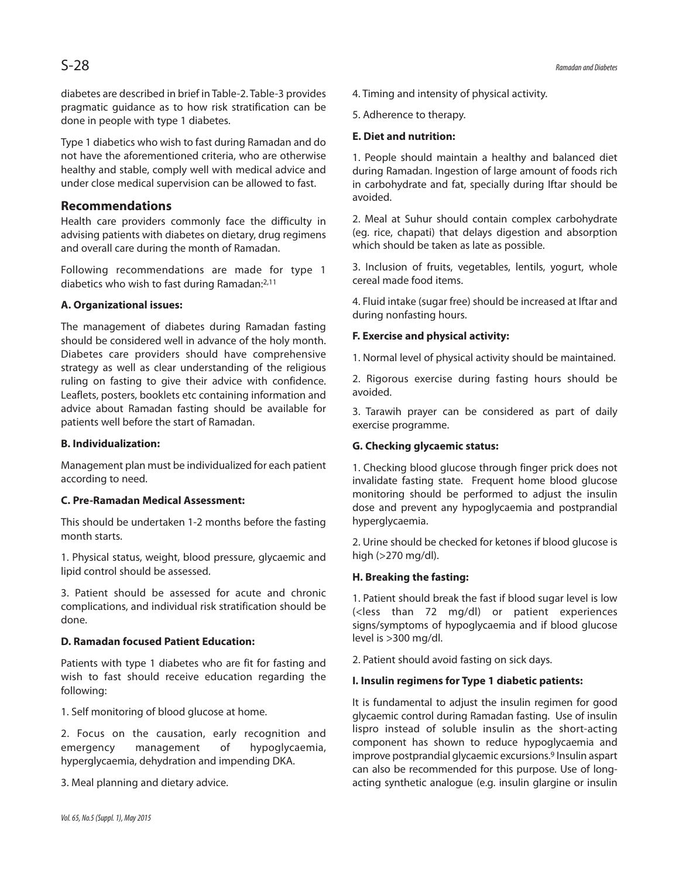diabetes are described in brief in Table-2. Table-3 provides pragmatic guidance as to how risk stratification can be done in people with type 1 diabetes.

Type 1 diabetics who wish to fast during Ramadan and do not have the aforementioned criteria, who are otherwise healthy and stable, comply well with medical advice and under close medical supervision can be allowed to fast.

### **Recommendations**

Health care providers commonly face the difficulty in advising patients with diabetes on dietary, drug regimens and overall care during the month of Ramadan.

Following recommendations are made for type 1 diabetics who wish to fast during Ramadan: 2,11

#### **A. Organizational issues:**

The management of diabetes during Ramadan fasting should be considered well in advance of the holy month. Diabetes care providers should have comprehensive strategy as well as clear understanding of the religious ruling on fasting to give their advice with confidence. Leaflets, posters, booklets etc containing information and advice about Ramadan fasting should be available for patients well before the start of Ramadan.

#### **B. Individualization:**

Management plan must be individualized for each patient according to need.

#### **C. Pre-Ramadan Medical Assessment:**

This should be undertaken 1-2 months before the fasting month starts.

1. Physical status, weight, blood pressure, glycaemic and lipid control should be assessed.

3. Patient should be assessed for acute and chronic complications, and individual risk stratification should be done.

#### **D. Ramadan focused Patient Education:**

Patients with type 1 diabetes who are fit for fasting and wish to fast should receive education regarding the following:

1. Self monitoring of blood glucose at home.

2. Focus on the causation, early recognition and emergency management of hypoglycaemia, hyperglycaemia, dehydration and impending DKA.

3. Meal planning and dietary advice.

4. Timing and intensity of physical activity.

5. Adherence to therapy.

#### **E. Diet and nutrition:**

1. People should maintain a healthy and balanced diet during Ramadan. Ingestion of large amount of foods rich in carbohydrate and fat, specially during Iftar should be avoided.

2. Meal at Suhur should contain complex carbohydrate (eg. rice, chapati) that delays digestion and absorption which should be taken as late as possible.

3. Inclusion of fruits, vegetables, lentils, yogurt, whole cereal made food items.

4. Fluid intake (sugar free) should be increased at Iftar and during nonfasting hours.

#### **F. Exercise and physical activity:**

1. Normal level of physical activity should be maintained.

2. Rigorous exercise during fasting hours should be avoided.

3. Tarawih prayer can be considered as part of daily exercise programme.

## **G. Checking glycaemic status:**

1. Checking blood glucose through finger prick does not invalidate fasting state. Frequent home blood glucose monitoring should be performed to adjust the insulin dose and prevent any hypoglycaemia and postprandial hyperglycaemia.

2. Urine should be checked for ketones if blood glucose is high (>270 mg/dl).

## **H. Breaking the fasting:**

1. Patient should break the fast if blood sugar level is low (<less than 72 mg/dl) or patient experiences signs/symptoms of hypoglycaemia and if blood glucose level is >300 mg/dl.

2. Patient should avoid fasting on sick days.

#### **I. Insulin regimens for Type 1 diabetic patients:**

It is fundamental to adjust the insulin regimen for good glycaemic control during Ramadan fasting. Use of insulin lispro instead of soluble insulin as the short-acting component has shown to reduce hypoglycaemia and improve postprandial glycaemic excursions. <sup>9</sup> Insulin aspart can also be recommended for this purpose. Use of longacting synthetic analogue (e.g. insulin glargine or insulin